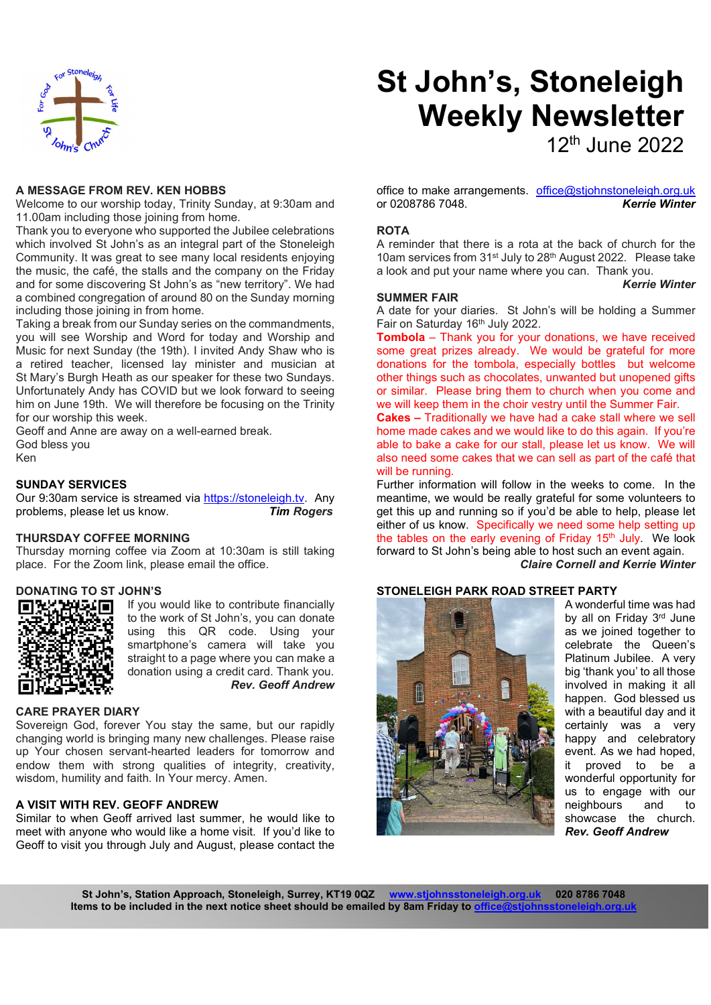

# St John's, Stoneleigh Weekly Newsletter

12th June 2022

#### A MESSAGE FROM REV. KEN HOBBS

Welcome to our worship today, Trinity Sunday, at 9:30am and 11.00am including those joining from home.

Thank you to everyone who supported the Jubilee celebrations which involved St John's as an integral part of the Stoneleigh Community. It was great to see many local residents enjoying the music, the café, the stalls and the company on the Friday and for some discovering St John's as "new territory". We had a combined congregation of around 80 on the Sunday morning including those joining in from home.

Taking a break from our Sunday series on the commandments, you will see Worship and Word for today and Worship and Music for next Sunday (the 19th). I invited Andy Shaw who is a retired teacher, licensed lay minister and musician at St Mary's Burgh Heath as our speaker for these two Sundays. Unfortunately Andy has COVID but we look forward to seeing him on June 19th. We will therefore be focusing on the Trinity for our worship this week.

Geoff and Anne are away on a well-earned break. God bless you Ken

## SUNDAY SERVICES

Our 9:30am service is streamed via https://stoneleigh.tv. Any problems, please let us know. Tim Rogers

## THURSDAY COFFEE MORNING

Thursday morning coffee via Zoom at 10:30am is still taking place. For the Zoom link, please email the office.

## DONATING TO ST JOHN'S



If you would like to contribute financially to the work of St John's, you can donate using this QR code. Using your smartphone's camera will take you straight to a page where you can make a donation using a credit card. Thank you. Rev. Geoff Andrew

#### CARE PRAYER DIARY

Sovereign God, forever You stay the same, but our rapidly changing world is bringing many new challenges. Please raise up Your chosen servant-hearted leaders for tomorrow and endow them with strong qualities of integrity, creativity, wisdom, humility and faith. In Your mercy. Amen.

# A VISIT WITH REV. GEOFF ANDREW

Similar to when Geoff arrived last summer, he would like to meet with anyone who would like a home visit. If you'd like to Geoff to visit you through July and August, please contact the

office to make arrangements. office@stjohnstoneleigh.org.uk or 0208786 7048. Kerrie Winter

## **ROTA**

A reminder that there is a rota at the back of church for the 10am services from 31st July to 28th August 2022. Please take a look and put your name where you can. Thank you.

Kerrie Winter

#### SUMMER FAIR

A date for your diaries. St John's will be holding a Summer Fair on Saturday 16th July 2022.

**Tombola** – Thank you for your donations, we have received some great prizes already. We would be grateful for more donations for the tombola, especially bottles but welcome other things such as chocolates, unwanted but unopened gifts or similar. Please bring them to church when you come and we will keep them in the choir vestry until the Summer Fair.

Cakes – Traditionally we have had a cake stall where we sell home made cakes and we would like to do this again. If you're able to bake a cake for our stall, please let us know. We will also need some cakes that we can sell as part of the café that will be running.

Further information will follow in the weeks to come. In the meantime, we would be really grateful for some volunteers to get this up and running so if you'd be able to help, please let either of us know. Specifically we need some help setting up the tables on the early evening of Friday 15<sup>th</sup> July. We look forward to St John's being able to host such an event again. Claire Cornell and Kerrie Winter

## STONELEIGH PARK ROAD STREET PARTY



A wonderful time was had by all on Friday 3rd June as we joined together to celebrate the Queen's Platinum Jubilee. A very big 'thank you' to all those involved in making it all happen. God blessed us with a beautiful day and it certainly was a very happy and celebratory event. As we had hoped, it proved to be a wonderful opportunity for us to engage with our neighbours and to showcase the church. Rev. Geoff Andrew

St John's, Station Approach, Stoneleigh, Surrey, KT19 0QZ www.stjohnsstoneleigh.org.uk 020 8786 7048 Items to be included in the next notice sheet should be emailed by 8am Friday to office@stjohn